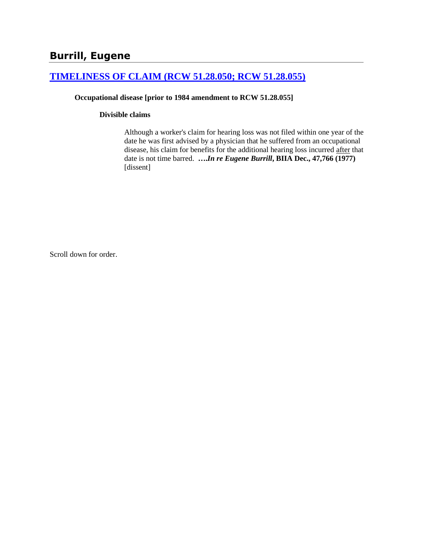# **[TIMELINESS OF CLAIM \(RCW 51.28.050; RCW 51.28.055\)](http://www.biia.wa.gov/SDSubjectIndex.html#TIMELINESS_OF_CLAIM)**

### **Occupational disease [prior to 1984 amendment to RCW 51.28.055]**

#### **Divisible claims**

Although a worker's claim for hearing loss was not filed within one year of the date he was first advised by a physician that he suffered from an occupational disease, his claim for benefits for the additional hearing loss incurred after that date is not time barred. **….***In re Eugene Burrill***, BIIA Dec., 47,766 (1977)** [dissent]

Scroll down for order.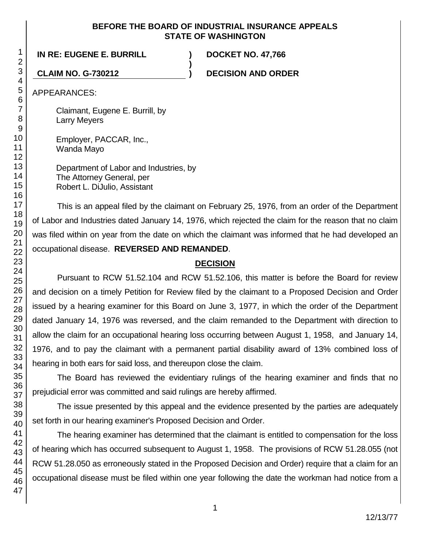## **BEFORE THE BOARD OF INDUSTRIAL INSURANCE APPEALS STATE OF WASHINGTON**

**)**

**IN RE: EUGENE E. BURRILL ) DOCKET NO. 47,766**

**CLAIM NO. G-730212 ) DECISION AND ORDER**

APPEARANCES:

Claimant, Eugene E. Burrill, by Larry Meyers

Employer, PACCAR, Inc., Wanda Mayo

Department of Labor and Industries, by The Attorney General, per Robert L. DiJulio, Assistant

This is an appeal filed by the claimant on February 25, 1976, from an order of the Department of Labor and Industries dated January 14, 1976, which rejected the claim for the reason that no claim was filed within on year from the date on which the claimant was informed that he had developed an occupational disease. **REVERSED AND REMANDED**.

# **DECISION**

Pursuant to RCW 51.52.104 and RCW 51.52.106, this matter is before the Board for review and decision on a timely Petition for Review filed by the claimant to a Proposed Decision and Order issued by a hearing examiner for this Board on June 3, 1977, in which the order of the Department dated January 14, 1976 was reversed, and the claim remanded to the Department with direction to allow the claim for an occupational hearing loss occurring between August 1, 1958, and January 14, 1976, and to pay the claimant with a permanent partial disability award of 13% combined loss of hearing in both ears for said loss, and thereupon close the claim.

The Board has reviewed the evidentiary rulings of the hearing examiner and finds that no prejudicial error was committed and said rulings are hereby affirmed.

The issue presented by this appeal and the evidence presented by the parties are adequately set forth in our hearing examiner's Proposed Decision and Order.

The hearing examiner has determined that the claimant is entitled to compensation for the loss of hearing which has occurred subsequent to August 1, 1958. The provisions of RCW 51.28.055 (not RCW 51.28.050 as erroneously stated in the Proposed Decision and Order) require that a claim for an occupational disease must be filed within one year following the date the workman had notice from a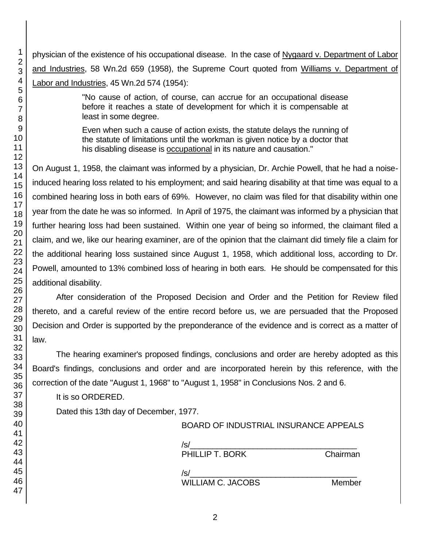physician of the existence of his occupational disease. In the case of Nygaard v. Department of Labor and Industries, 58 Wn.2d 659 (1958), the Supreme Court quoted from Williams v. Department of Labor and Industries, 45 Wn.2d 574 (1954):

> "No cause of action, of course, can accrue for an occupational disease before it reaches a state of development for which it is compensable at least in some degree.

> Even when such a cause of action exists, the statute delays the running of the statute of limitations until the workman is given notice by a doctor that his disabling disease is occupational in its nature and causation."

On August 1, 1958, the claimant was informed by a physician, Dr. Archie Powell, that he had a noiseinduced hearing loss related to his employment; and said hearing disability at that time was equal to a combined hearing loss in both ears of 69%. However, no claim was filed for that disability within one year from the date he was so informed. In April of 1975, the claimant was informed by a physician that further hearing loss had been sustained. Within one year of being so informed, the claimant filed a claim, and we, like our hearing examiner, are of the opinion that the claimant did timely file a claim for the additional hearing loss sustained since August 1, 1958, which additional loss, according to Dr. Powell, amounted to 13% combined loss of hearing in both ears. He should be compensated for this additional disability.

After consideration of the Proposed Decision and Order and the Petition for Review filed thereto, and a careful review of the entire record before us, we are persuaded that the Proposed Decision and Order is supported by the preponderance of the evidence and is correct as a matter of law.

The hearing examiner's proposed findings, conclusions and order are hereby adopted as this Board's findings, conclusions and order and are incorporated herein by this reference, with the correction of the date "August 1, 1968" to "August 1, 1958" in Conclusions Nos. 2 and 6.

It is so ORDERED.

Dated this 13th day of December, 1977.

| BOARD OF INDUSTRIAL INSURANCE APPEALS |  |
|---------------------------------------|--|
|---------------------------------------|--|

| /s/             |          |
|-----------------|----------|
| PHILLIP T. BORK | Chairman |
|                 |          |
| 's              |          |

WILLIAM C. JACOBS Member